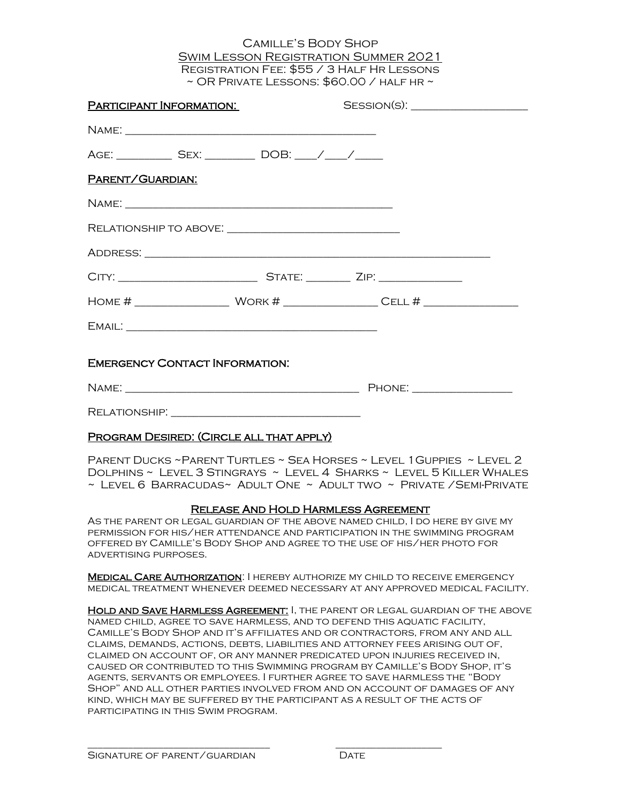## Camille's Body Shop Swim Lesson Registration Summer 2021 Registration Fee: \$55 / 3 Half Hr Lessons  $\sim$  OR PRIVATE LESSONS:  $$60.00$  / HALF HR  $\sim$

| <b>PARTICIPANT INFORMATION:</b>                                  |  |  |
|------------------------------------------------------------------|--|--|
|                                                                  |  |  |
| AGE: ______________ SEX: _____________ DOB: _____/ _____/ ______ |  |  |
| PARENT/GUARDIAN:                                                 |  |  |
|                                                                  |  |  |
|                                                                  |  |  |
|                                                                  |  |  |
|                                                                  |  |  |
|                                                                  |  |  |
|                                                                  |  |  |
| <b>EMERGENCY CONTACT INFORMATION:</b>                            |  |  |
|                                                                  |  |  |
|                                                                  |  |  |
| PROGRAM DESIRED: (CIRCLE ALL THAT APPLY)                         |  |  |

Parent Ducks ~Parent Turtles ~ Sea Horses ~ Level 1Guppies ~ Level 2 Dolphins ~ Level 3 Stingrays ~ Level 4 Sharks ~ Level 5 Killer Whales  $\sim$  Level 6 Barracudas $\sim$  Adult One  $\sim$  Adult two  $\sim$  Private /Semi-Private

## Release And Hold Harmless Agreement

As the parent or legal guardian of the above named child, I do here by give my permission for his/her attendance and participation in the swimming program offered by Camille's Body Shop and agree to the use of his/her photo for advertising purposes.

**MEDICAL CARE AUTHORIZATION: I HEREBY AUTHORIZE MY CHILD TO RECEIVE EMERGENCY** medical treatment whenever deemed necessary at any approved medical facility.

Hold and Save Harmless Agreement: I, the parent or legal guardian of the above named child, agree to save harmless, and to defend this aquatic facility, Camille's Body Shop and it's affiliates and or contractors, from any and all claims, demands, actions, debts, liabilities and attorney fees arising out of, claimed on account of, or any manner predicated upon injuries received in, caused or contributed to this Swimming program by Camille's Body Shop, it's agents, servants or employees. I further agree to save harmless the "Body Shop" and all other parties involved from and on account of damages of any kind, which may be suffered by the participant as a result of the acts of participating in this Swim program.